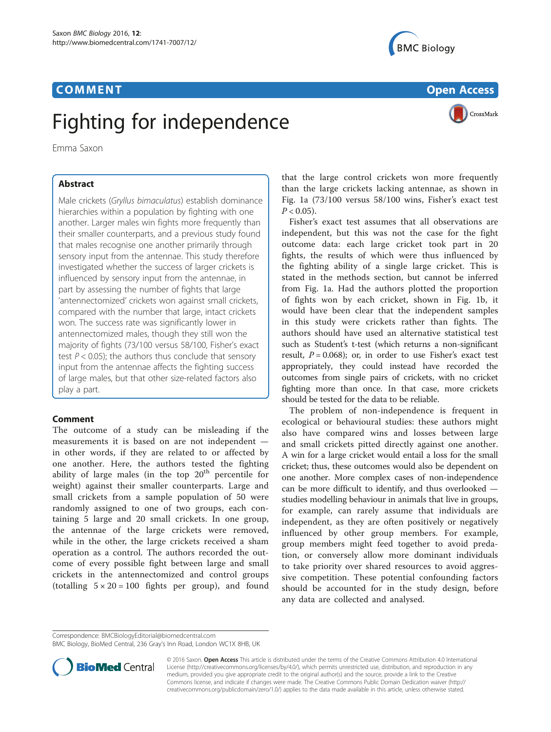



## Fighting for independence

Emma Saxon

Male crickets (Gryllus bimaculatus) establish dominance hierarchies within a population by fighting with one another. Larger males win fights more frequently than their smaller counterparts, and a previous study found that males recognise one another primarily through sensory input from the antennae. This study therefore investigated whether the success of larger crickets is influenced by sensory input from the antennae, in part by assessing the number of fights that large 'antennectomized' crickets won against small crickets, compared with the number that large, intact crickets won. The success rate was significantly lower in antennectomized males, though they still won the majority of fights (73/100 versus 58/100, Fisher's exact test  $P < 0.05$ ); the authors thus conclude that sensory input from the antennae affects the fighting success of large males, but that other size-related factors also play a part.

## **Comment**

The outcome of a study can be misleading if the measurements it is based on are not independent in other words, if they are related to or affected by one another. Here, the authors tested the fighting ability of large males (in the top 20<sup>th</sup> percentile for weight) against their smaller counterparts. Large and small crickets from a sample population of 50 were randomly assigned to one of two groups, each containing 5 large and 20 small crickets. In one group, the antennae of the large crickets were removed, while in the other, the large crickets received a sham operation as a control. The authors recorded the outcome of every possible fight between large and small crickets in the antennectomized and control groups (totalling  $5 \times 20 = 100$  fights per group), and found

that the large control crickets won more frequently than the large crickets lacking antennae, as shown in Fig. [1a](#page-1-0) (73/100 versus 58/100 wins, Fisher's exact test  $P < 0.05$ ).

Fisher's exact test assumes that all observations are independent, but this was not the case for the fight outcome data: each large cricket took part in 20 fights, the results of which were thus influenced by the fighting ability of a single large cricket. This is stated in the methods section, but cannot be inferred from Fig. [1a.](#page-1-0) Had the authors plotted the proportion of fights won by each cricket, shown in Fig. [1b,](#page-1-0) it would have been clear that the independent samples in this study were crickets rather than fights. The authors should have used an alternative statistical test such as Student's t-test (which returns a non-significant result,  $P = 0.068$ ; or, in order to use Fisher's exact test appropriately, they could instead have recorded the outcomes from single pairs of crickets, with no cricket fighting more than once. In that case, more crickets should be tested for the data to be reliable.

The problem of non-independence is frequent in ecological or behavioural studies: these authors might also have compared wins and losses between large and small crickets pitted directly against one another. A win for a large cricket would entail a loss for the small cricket; thus, these outcomes would also be dependent on one another. More complex cases of non-independence can be more difficult to identify, and thus overlooked studies modelling behaviour in animals that live in groups, for example, can rarely assume that individuals are independent, as they are often positively or negatively influenced by other group members. For example, group members might feed together to avoid predation, or conversely allow more dominant individuals to take priority over shared resources to avoid aggressive competition. These potential confounding factors should be accounted for in the study design, before any data are collected and analysed.

Correspondence: [BMCBiologyEditorial@biomedcentral.com](mailto:BMCBiologyEditorial@biomedcentral.com)

BMC Biology, BioMed Central, 236 Gray's Inn Road, London WC1X 8HB, UK



© 2016 Saxon. Open Access This article is distributed under the terms of the Creative Commons Attribution 4.0 International License ([http://creativecommons.org/licenses/by/4.0/\)](http://creativecommons.org/licenses/by/4.0/), which permits unrestricted use, distribution, and reproduction in any medium, provided you give appropriate credit to the original author(s) and the source, provide a link to the Creative Commons license, and indicate if changes were made. The Creative Commons Public Domain Dedication waiver ([http://](http://creativecommons.org/publicdomain/zero/1.0/) [creativecommons.org/publicdomain/zero/1.0/\)](http://creativecommons.org/publicdomain/zero/1.0/) applies to the data made available in this article, unless otherwise stated.